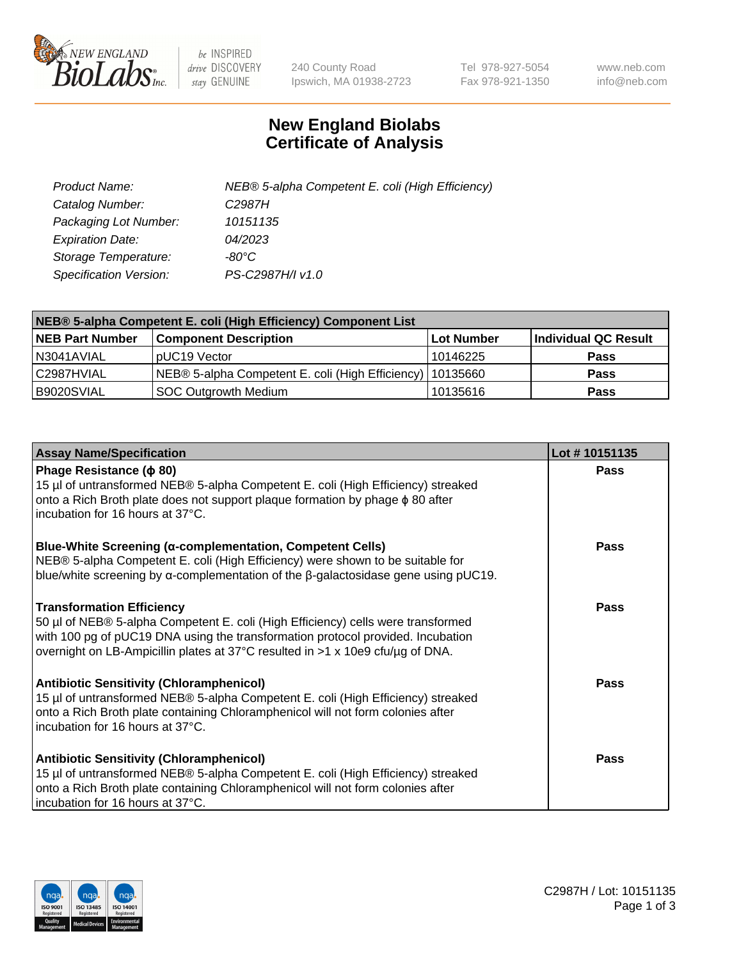

 $be$  INSPIRED drive DISCOVERY stay GENUINE

240 County Road Ipswich, MA 01938-2723 Tel 978-927-5054 Fax 978-921-1350 www.neb.com info@neb.com

## **New England Biolabs Certificate of Analysis**

| Product Name:           | NEB® 5-alpha Competent E. coli (High Efficiency) |
|-------------------------|--------------------------------------------------|
| Catalog Number:         | C <sub>2987</sub> H                              |
| Packaging Lot Number:   | 10151135                                         |
| <b>Expiration Date:</b> | 04/2023                                          |
| Storage Temperature:    | -80°C.                                           |
| Specification Version:  | PS-C2987H/I v1.0                                 |

| NEB® 5-alpha Competent E. coli (High Efficiency) Component List |                                                             |            |                      |  |
|-----------------------------------------------------------------|-------------------------------------------------------------|------------|----------------------|--|
| <b>NEB Part Number</b>                                          | <b>Component Description</b>                                | Lot Number | Individual QC Result |  |
| I N3041AVIAL                                                    | pUC19 Vector                                                | 10146225   | <b>Pass</b>          |  |
| C2987HVIAL                                                      | NEB® 5-alpha Competent E. coli (High Efficiency)   10135660 |            | <b>Pass</b>          |  |
| B9020SVIAL                                                      | SOC Outgrowth Medium                                        | 10135616   | <b>Pass</b>          |  |

| <b>Assay Name/Specification</b>                                                                                                                                                                                                                                                           | Lot #10151135 |
|-------------------------------------------------------------------------------------------------------------------------------------------------------------------------------------------------------------------------------------------------------------------------------------------|---------------|
| Phage Resistance ( $\phi$ 80)<br>15 µl of untransformed NEB® 5-alpha Competent E. coli (High Efficiency) streaked<br>onto a Rich Broth plate does not support plaque formation by phage φ 80 after<br>incubation for 16 hours at 37°C.                                                    | <b>Pass</b>   |
| <b>Blue-White Screening (α-complementation, Competent Cells)</b><br>NEB® 5-alpha Competent E. coli (High Efficiency) were shown to be suitable for<br>blue/white screening by $\alpha$ -complementation of the $\beta$ -galactosidase gene using pUC19.                                   | Pass          |
| <b>Transformation Efficiency</b><br>50 µl of NEB® 5-alpha Competent E. coli (High Efficiency) cells were transformed<br>with 100 pg of pUC19 DNA using the transformation protocol provided. Incubation<br>overnight on LB-Ampicillin plates at 37°C resulted in >1 x 10e9 cfu/µg of DNA. | Pass          |
| <b>Antibiotic Sensitivity (Chloramphenicol)</b><br>15 µl of untransformed NEB® 5-alpha Competent E. coli (High Efficiency) streaked<br>onto a Rich Broth plate containing Chloramphenicol will not form colonies after<br>incubation for 16 hours at 37°C.                                | <b>Pass</b>   |
| <b>Antibiotic Sensitivity (Chloramphenicol)</b><br>15 µl of untransformed NEB® 5-alpha Competent E. coli (High Efficiency) streaked<br>onto a Rich Broth plate containing Chloramphenicol will not form colonies after<br>incubation for 16 hours at 37°C.                                | Pass          |

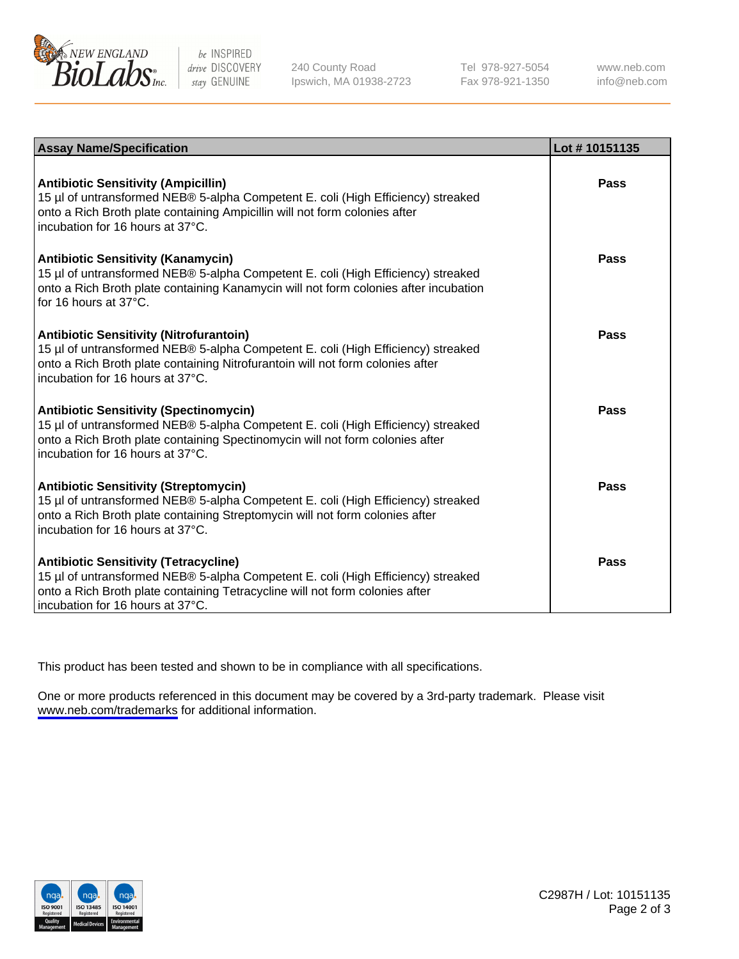

be INSPIRED drive DISCOVERY stay GENUINE

240 County Road Ipswich, MA 01938-2723 Tel 978-927-5054 Fax 978-921-1350

www.neb.com info@neb.com

| <b>Assay Name/Specification</b>                                                                                                                                                                                                                          | Lot #10151135 |
|----------------------------------------------------------------------------------------------------------------------------------------------------------------------------------------------------------------------------------------------------------|---------------|
| <b>Antibiotic Sensitivity (Ampicillin)</b><br>15 µl of untransformed NEB® 5-alpha Competent E. coli (High Efficiency) streaked<br>onto a Rich Broth plate containing Ampicillin will not form colonies after<br>incubation for 16 hours at 37°C.         | Pass          |
| <b>Antibiotic Sensitivity (Kanamycin)</b><br>15 µl of untransformed NEB® 5-alpha Competent E. coli (High Efficiency) streaked<br>onto a Rich Broth plate containing Kanamycin will not form colonies after incubation<br>for 16 hours at $37^{\circ}$ C. | Pass          |
| <b>Antibiotic Sensitivity (Nitrofurantoin)</b><br>15 µl of untransformed NEB® 5-alpha Competent E. coli (High Efficiency) streaked<br>onto a Rich Broth plate containing Nitrofurantoin will not form colonies after<br>incubation for 16 hours at 37°C. | Pass          |
| <b>Antibiotic Sensitivity (Spectinomycin)</b><br>15 µl of untransformed NEB® 5-alpha Competent E. coli (High Efficiency) streaked<br>onto a Rich Broth plate containing Spectinomycin will not form colonies after<br>incubation for 16 hours at 37°C.   | <b>Pass</b>   |
| <b>Antibiotic Sensitivity (Streptomycin)</b><br>15 µl of untransformed NEB® 5-alpha Competent E. coli (High Efficiency) streaked<br>onto a Rich Broth plate containing Streptomycin will not form colonies after<br>incubation for 16 hours at 37°C.     | Pass          |
| <b>Antibiotic Sensitivity (Tetracycline)</b><br>15 µl of untransformed NEB® 5-alpha Competent E. coli (High Efficiency) streaked<br>onto a Rich Broth plate containing Tetracycline will not form colonies after<br>incubation for 16 hours at 37°C.     | Pass          |

This product has been tested and shown to be in compliance with all specifications.

One or more products referenced in this document may be covered by a 3rd-party trademark. Please visit <www.neb.com/trademarks>for additional information.